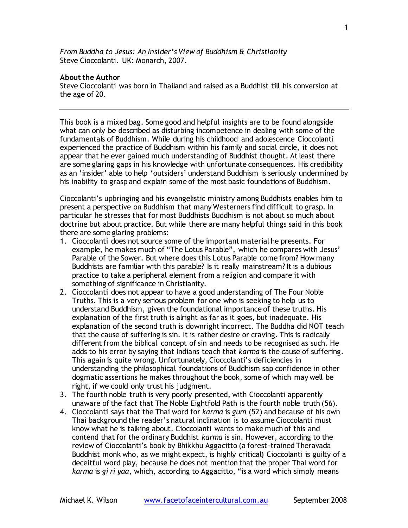*From Buddha to Jesus: An Insider's View of Buddhism & Christianity* Steve Cioccolanti. UK: Monarch, 2007.

## **About the Author**

Steve Cioccolanti was born in Thailand and raised as a Buddhist till his conversion at the age of 20.

This book is a mixed bag. Some good and helpful insights are to be found alongside what can only be described as disturbing incompetence in dealing with some of the fundamentals of Buddhism. While during his childhood and adolescence Cioccolanti experienced the practice of Buddhism within his family and social circle, it does not appear that he ever gained much understanding of Buddhist thought. At least there are some glaring gaps in his knowledge with unfortunate consequences. His credibility as an 'insider' able to help 'outsiders' understand Buddhism is seriously undermined by his inability to grasp and explain some of the most basic foundations of Buddhism.

Cioccolanti's upbringing and his evangelistic ministry among Buddhists enables him to present a perspective on Buddhism that many Westerners find difficult to grasp. In particular he stresses that for most Buddhists Buddhism is not about so much about doctrine but about practice. But while there are many helpful things said in this book there are some glaring problems:

- 1. Cioccolanti does not source some of the important material he presents. For example, he makes much of "The Lotus Parable", which he compares with Jesus' Parable of the Sower. But where does this Lotus Parable come from? How many Buddhists are familiar with this parable? Is it really mainstream? It is a dubious practice to take a peripheral element from a religion and compare it with something of significance in Christianity.
- 2. Cioccolanti does not appear to have a good understanding of The Four Noble Truths. This is a very serious problem for one who is seeking to help us to understand Buddhism, given the foundational importance of these truths. His explanation of the first truth is alright as far as it goes, but inadequate. His explanation of the second truth is downright incorrect. The Buddha did NOT teach that the cause of suffering is sin. It is rather desire or craving. This is radically different from the biblical concept of sin and needs to be recognised as such. He adds to his error by saying that Indians teach that *karma* is the cause of suffering. This again is quite wrong. Unfortunately, Cioccolanti's deficiencies in understanding the philosophical foundations of Buddhism sap confidence in other dogmatic assertions he makes throughout the book, some of which may well be right, if we could only trust his judgment.
- 3. The fourth noble truth is very poorly presented, with Cioccolanti apparently unaware of the fact that The Noble Eightfold Path is the fourth noble truth (56).
- 4. Cioccolanti says that the Thai word for *karma* is *gum* (52) and because of his own Thai background the reader's natural inclination is to assume Cioccolanti must know what he is talking about. Cioccolanti wants to make much of this and contend that for the ordinary Buddhist *karma* is sin. However, according to the review of Cioccolanti's book by Bhikkhu Aggacitto (a forest-trained Theravada Buddhist monk who, as we might expect, is highly critical) Cioccolanti is guilty of a deceitful word play, because he does not mention that the proper Thai word for *karma* is *gi ri yaa*, which, according to Aggacitto, "is a word which simply means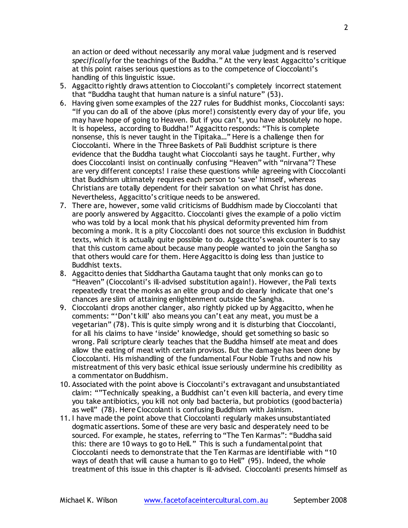an action or deed without necessarily any moral value judgment and is reserved *specifically* for the teachings of the Buddha." At the very least Aggacitto's critique at this point raises serious questions as to the competence of Cioccolanti's handling of this linguistic issue.

- 5. Aggacitto rightly draws attention to Cioccolanti's completely incorrect statement that "Buddha taught that human nature is a sinful nature" (53).
- 6. Having given some examples of the 227 rules for Buddhist monks, Cioccolanti says: "If you can do all of the above (plus more!) consistently every day of your life, you may have hope of going to Heaven. But if you can't, you have absolutely no hope. It is hopeless, according to Buddha!" Aggacitto responds: "This is complete nonsense, this is never taught in the Tipitaka…" Here is a challenge then for Cioccolanti. Where in the Three Baskets of Pali Buddhist scripture is there evidence that the Buddha taught what Cioccolanti says he taught. Further, why does Cioccolanti insist on continually confusing "Heaven" with "nirvana"? These are very different concepts! I raise these questions while agreeing with Cioccolanti that Buddhism ultimately requires each person to 'save' himself, whereas Christians are totally dependent for their salvation on what Christ has done. Nevertheless, Aggacitto's critique needs to be answered.
- 7. There are, however, some valid criticisms of Buddhism made by Cioccolanti that are poorly answered by Aggacitto. Cioccolanti gives the example of a polio victim who was told by a local monk that his physical deformity prevented him from becoming a monk. It is a pity Cioccolanti does not source this exclusion in Buddhist texts, which it is actually quite possible to do. Aggacitto's weak counter is to say that this custom came about because many people wanted to join the Sangha so that others would care for them. Here Aggacitto is doing less than justice to Buddhist texts.
- 8. Aggacitto denies that Siddhartha Gautama taught that only monks can go to "Heaven" (Cioccolanti's ill-advised substitution again!). However, the Pali texts repeatedly treat the monks as an elite group and do clearly indicate that one's chances are slim of attaining enlightenment outside the Sangha.
- 9. Cioccolanti drops another clanger, also rightly picked up by Aggacitto, when he comments: "'Don't kill' also means you can't eat any meat, you must be a vegetarian" (78). This is quite simply wrong and it is disturbing that Cioccolanti, for all his claims to have 'inside' knowledge, should get something so basic so wrong. Pali scripture clearly teaches that the Buddha himself ate meat and does allow the eating of meat with certain provisos. But the damage has been done by Cioccolanti. His mishandling of the fundamental Four Noble Truths and now his mistreatment of this very basic ethical issue seriously undermine his credibility as a commentator on Buddhism.
- 10. Associated with the point above is Cioccolanti's extravagant and unsubstantiated claim: ""Technically speaking, a Buddhist can't even kill bacteria, and every time you take antibiotics, you kill not only bad bacteria, but probiotics (good bacteria) as well" (78). Here Cioccolanti is confusing Buddhism with Jainism.
- 11.I have made the point above that Cioccolanti regularly makes unsubstantiated dogmatic assertions. Some of these are very basic and desperately need to be sourced. For example, he states, referring to "The Ten Karmas": "Buddha said this: there are 10 ways to go to Hell." This is such a fundamental point that Cioccolanti needs to demonstrate that the Ten Karmas are identifiable with "10 ways of death that will cause a human to go to Hell" (95). Indeed, the whole treatment of this issue in this chapter is ill-advised. Cioccolanti presents himself as